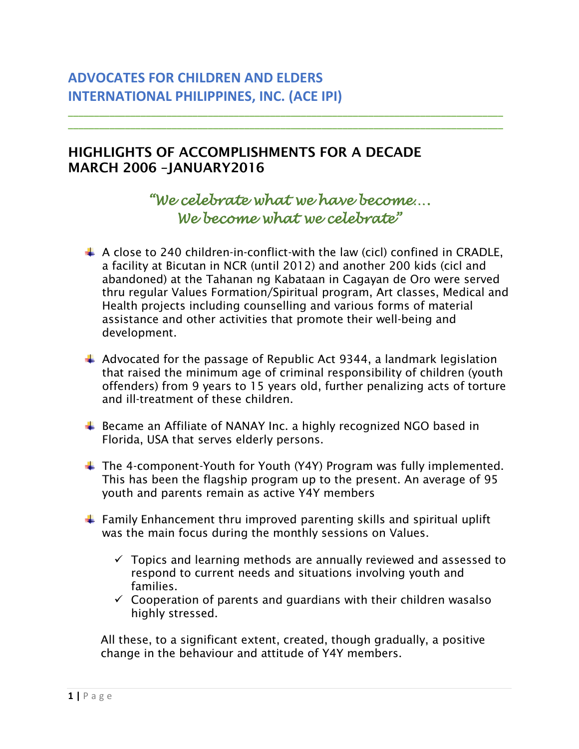## **ADVOCATES FOR CHILDREN AND ELDERS INTERNATIONAL PHILIPPINES, INC. (ACE IPI)**

## HIGHLIGHTS OF ACCOMPLISHMENTS FOR A DECADE MARCH 2006 –JANUARY2016

## *"We celebrate what we have become…. We become what we celebrate"*

**\_\_\_\_\_\_\_\_\_\_\_\_\_\_\_\_\_\_\_\_\_\_\_\_\_\_\_\_\_\_\_\_\_\_\_\_\_\_\_\_\_\_\_\_\_\_\_\_\_\_\_\_\_\_\_\_\_\_\_\_\_\_\_\_\_\_\_\_\_\_\_\_\_\_\_\_\_\_\_\_\_\_\_\_ \_\_\_\_\_\_\_\_\_\_\_\_\_\_\_\_\_\_\_\_\_\_\_\_\_\_\_\_\_\_\_\_\_\_\_\_\_\_\_\_\_\_\_\_\_\_\_\_\_\_\_\_\_\_\_\_\_\_\_\_\_\_\_\_\_\_\_\_\_\_\_\_\_\_\_\_\_\_\_\_\_\_\_\_**

- $\ddot{+}$  A close to 240 children-in-conflict-with the law (cicl) confined in CRADLE. a facility at Bicutan in NCR (until 2012) and another 200 kids (cicl and abandoned) at the Tahanan ng Kabataan in Cagayan de Oro were served thru regular Values Formation/Spiritual program, Art classes, Medical and Health projects including counselling and various forms of material assistance and other activities that promote their well-being and development.
- $\ddot{+}$  Advocated for the passage of Republic Act 9344, a landmark legislation that raised the minimum age of criminal responsibility of children (youth offenders) from 9 years to 15 years old, further penalizing acts of torture and ill-treatment of these children.
- Became an Affiliate of NANAY Inc. a highly recognized NGO based in Florida, USA that serves elderly persons.
- $\ddot{\phantom{1}}$  The 4-component-Youth for Youth (Y4Y) Program was fully implemented. This has been the flagship program up to the present. An average of 95 youth and parents remain as active Y4Y members
- $\ddot{\phantom{1}}$  Family Enhancement thru improved parenting skills and spiritual uplift was the main focus during the monthly sessions on Values.
	- $\checkmark$  Topics and learning methods are annually reviewed and assessed to respond to current needs and situations involving youth and families.
	- $\checkmark$  Cooperation of parents and guardians with their children wasalso highly stressed.

All these, to a significant extent, created, though gradually, a positive change in the behaviour and attitude of Y4Y members.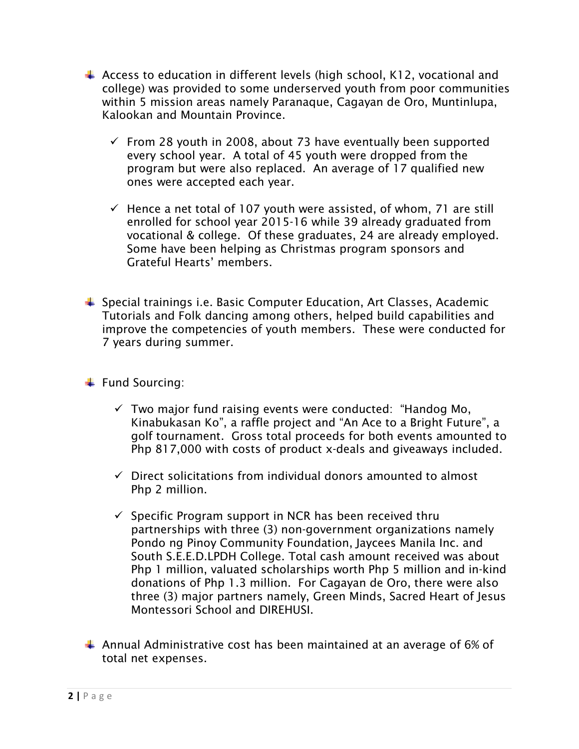- $\ddot{+}$  Access to education in different levels (high school, K12, vocational and college) was provided to some underserved youth from poor communities within 5 mission areas namely Paranaque, Cagayan de Oro, Muntinlupa, Kalookan and Mountain Province.
	- $\checkmark$  From 28 youth in 2008, about 73 have eventually been supported every school year. A total of 45 youth were dropped from the program but were also replaced. An average of 17 qualified new ones were accepted each year.
	- $\checkmark$  Hence a net total of 107 youth were assisted, of whom, 71 are still enrolled for school year 2015-16 while 39 already graduated from vocational & college. Of these graduates, 24 are already employed. Some have been helping as Christmas program sponsors and Grateful Hearts' members.
- $\ddot{\phantom{1}}$  Special trainings i.e. Basic Computer Education, Art Classes, Academic Tutorials and Folk dancing among others, helped build capabilities and improve the competencies of youth members. These were conducted for 7 years during summer.
- $\ddot$  Fund Sourcing:
	- $\checkmark$  Two major fund raising events were conducted: "Handog Mo, Kinabukasan Ko", a raffle project and "An Ace to a Bright Future", a golf tournament. Gross total proceeds for both events amounted to Php 817,000 with costs of product x-deals and giveaways included.
	- $\checkmark$  Direct solicitations from individual donors amounted to almost Php 2 million.
	- $\checkmark$  Specific Program support in NCR has been received thru partnerships with three (3) non-government organizations namely Pondo ng Pinoy Community Foundation, Jaycees Manila Inc. and South S.E.E.D.LPDH College. Total cash amount received was about Php 1 million, valuated scholarships worth Php 5 million and in-kind donations of Php 1.3 million. For Cagayan de Oro, there were also three (3) major partners namely, Green Minds, Sacred Heart of Jesus Montessori School and DIREHUSI.
- $\ddot{\phantom{1}}$  Annual Administrative cost has been maintained at an average of 6% of total net expenses.